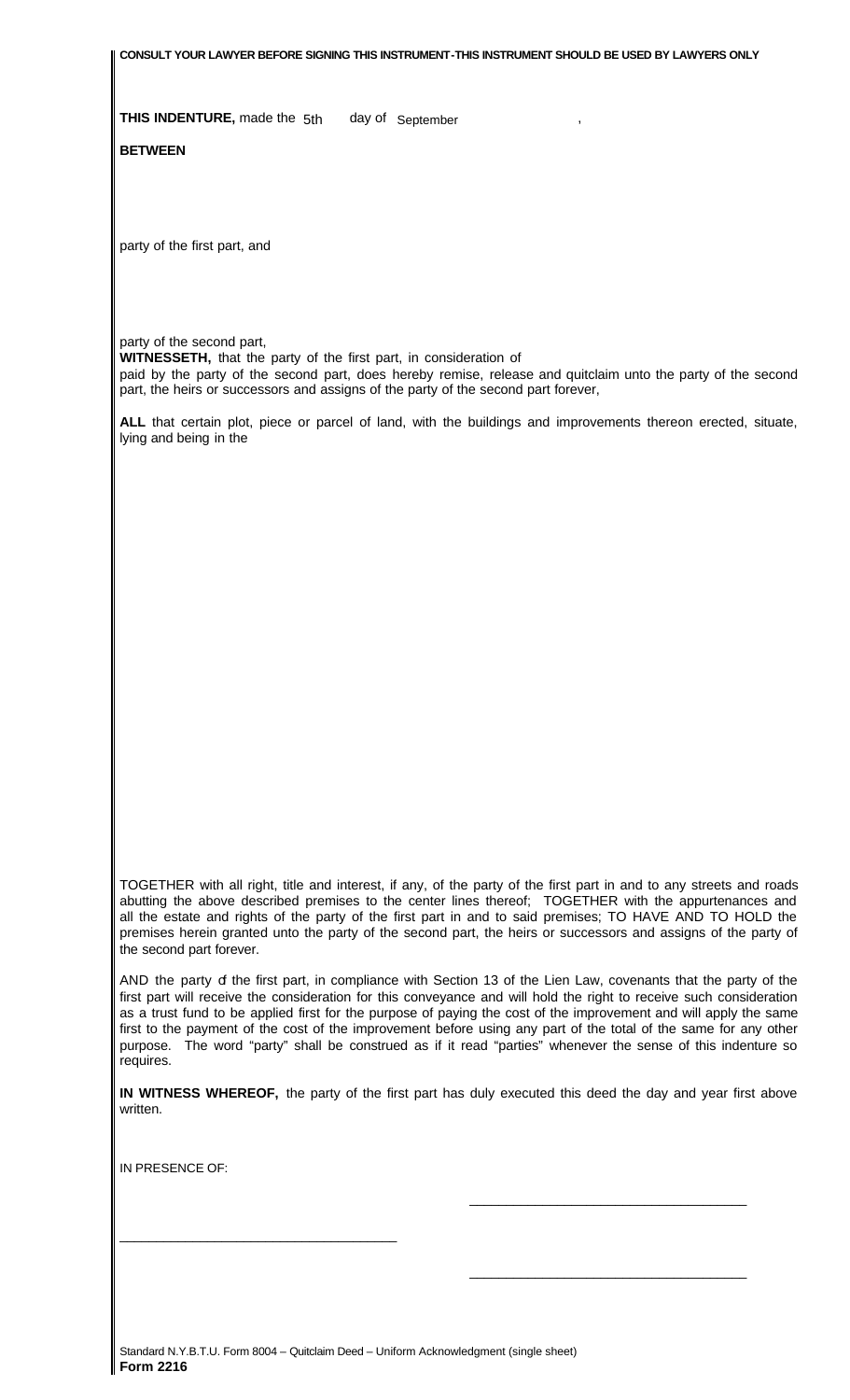**CONSULT YOUR LAWYER BEFORE SIGNING THIS INSTRUMENT-THIS INSTRUMENT SHOULD BE USED BY LAWYERS ONLY**

**THIS INDENTURE, made the 5th** day of September

**BETWEEN**

party of the first part, and

party of the second part,

**WITNESSETH,** that the party of the first part, in consideration of

paid by the party of the second part, does hereby remise, release and quitclaim unto the party of the second part, the heirs or successors and assigns of the party of the second part forever,

**ALL** that certain plot, piece or parcel of land, with the buildings and improvements thereon erected, situate, lying and being in the

TOGETHER with all right, title and interest, if any, of the party of the first part in and to any streets and roads abutting the above described premises to the center lines thereof; TOGETHER with the appurtenances and all the estate and rights of the party of the first part in and to said premises; TO HAVE AND TO HOLD the premises herein granted unto the party of the second part, the heirs or successors and assigns of the party of the second part forever.

AND the party of the first part, in compliance with Section 13 of the Lien Law, covenants that the party of the first part will receive the consideration for this conveyance and will hold the right to receive such consideration as a trust fund to be applied first for the purpose of paying the cost of the improvement and will apply the same first to the payment of the cost of the improvement before using any part of the total of the same for any other purpose. The word "party" shall be construed as if it read "parties" whenever the sense of this indenture so requires.

**IN WITNESS WHEREOF,** the party of the first part has duly executed this deed the day and year first above written.

 $\frac{\alpha}{\alpha}$  , and the set of the set of the set of the set of the set of the set of the set of the set of the set of the set of the set of the set of the set of the set of the set of the set of the set of the set of the se

 $\frac{1}{\sqrt{2}}$  , and the state of the state of the state of the state of the state of the state of the state of the state of the state of the state of the state of the state of the state of the state of the state of the sta

IN PRESENCE OF:

\_\_\_\_\_\_\_\_\_\_\_\_\_\_\_\_\_\_\_\_\_\_\_\_\_\_\_\_\_\_\_\_\_\_\_\_\_\_